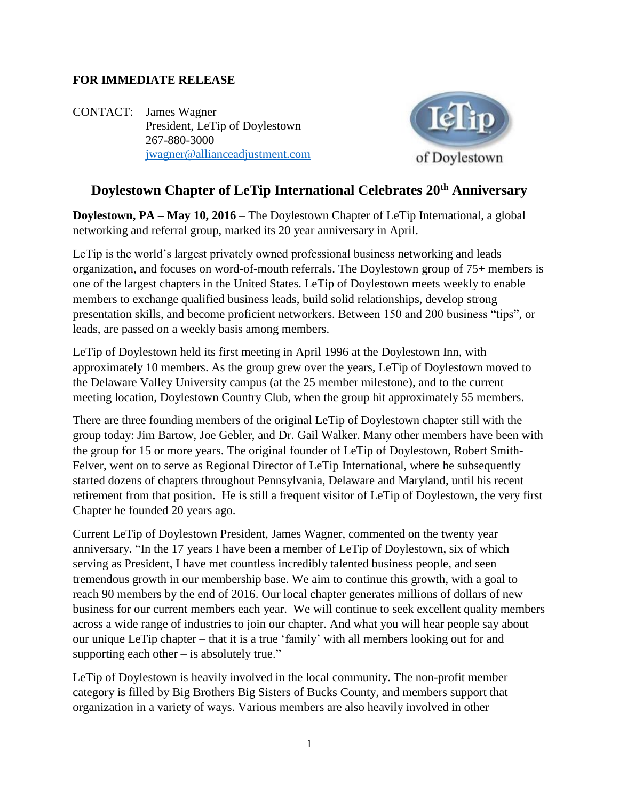## **FOR IMMEDIATE RELEASE**

CONTACT: James Wagner President, LeTip of Doylestown 267-880-3000 [jwagner@allianceadjustment.com](mailto:jwagner@allianceadjustment.com)



## **Doylestown Chapter of LeTip International Celebrates 20th Anniversary**

**Doylestown, PA – May 10, 2016** – The Doylestown Chapter of LeTip International, a global networking and referral group, marked its 20 year anniversary in April.

LeTip is the world's largest privately owned professional business networking and leads organization, and focuses on word-of-mouth referrals. The Doylestown group of 75+ members is one of the largest chapters in the United States. LeTip of Doylestown meets weekly to enable members to exchange qualified business leads, build solid relationships, develop strong presentation skills, and become proficient networkers. Between 150 and 200 business "tips", or leads, are passed on a weekly basis among members.

LeTip of Doylestown held its first meeting in April 1996 at the Doylestown Inn, with approximately 10 members. As the group grew over the years, LeTip of Doylestown moved to the Delaware Valley University campus (at the 25 member milestone), and to the current meeting location, Doylestown Country Club, when the group hit approximately 55 members.

There are three founding members of the original LeTip of Doylestown chapter still with the group today: Jim Bartow, Joe Gebler, and Dr. Gail Walker. Many other members have been with the group for 15 or more years. The original founder of LeTip of Doylestown, Robert Smith-Felver, went on to serve as Regional Director of LeTip International, where he subsequently started dozens of chapters throughout Pennsylvania, Delaware and Maryland, until his recent retirement from that position. He is still a frequent visitor of LeTip of Doylestown, the very first Chapter he founded 20 years ago.

Current LeTip of Doylestown President, James Wagner, commented on the twenty year anniversary. "In the 17 years I have been a member of LeTip of Doylestown, six of which serving as President, I have met countless incredibly talented business people, and seen tremendous growth in our membership base. We aim to continue this growth, with a goal to reach 90 members by the end of 2016. Our local chapter generates millions of dollars of new business for our current members each year. We will continue to seek excellent quality members across a wide range of industries to join our chapter. And what you will hear people say about our unique LeTip chapter – that it is a true 'family' with all members looking out for and supporting each other  $-$  is absolutely true."

LeTip of Doylestown is heavily involved in the local community. The non-profit member category is filled by Big Brothers Big Sisters of Bucks County, and members support that organization in a variety of ways. Various members are also heavily involved in other